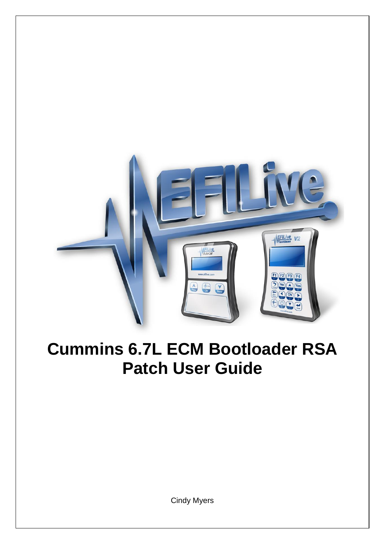

# **Cummins 6.7L ECM Bootloader RSA Patch User Guide**

Cindy Myers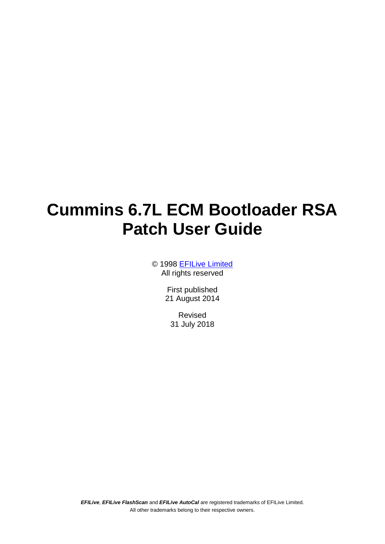# **Cummins 6.7L ECM Bootloader RSA Patch User Guide**

© 1998 [EFILive Limited](http://www.efilive.com/) All rights reserved

> First published 21 August 2014

Revised 31 July 2018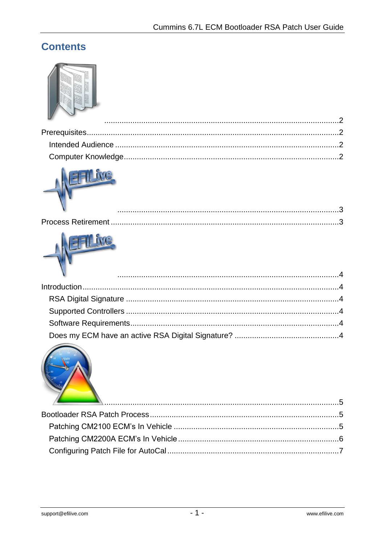## **Contents**









| <u> 15. marca - Ammunician American American (h. 15</u> |  |
|---------------------------------------------------------|--|
|                                                         |  |
|                                                         |  |
|                                                         |  |
|                                                         |  |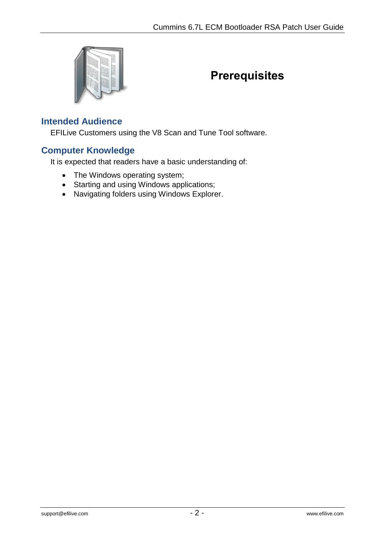<span id="page-3-0"></span>

## <span id="page-3-1"></span>**Prerequisites**

#### <span id="page-3-2"></span>**Intended Audience**

EFILive Customers using the V8 Scan and Tune Tool software.

#### <span id="page-3-3"></span>**Computer Knowledge**

It is expected that readers have a basic understanding of:

- The Windows operating system;
- Starting and using Windows applications;
- Navigating folders using Windows Explorer.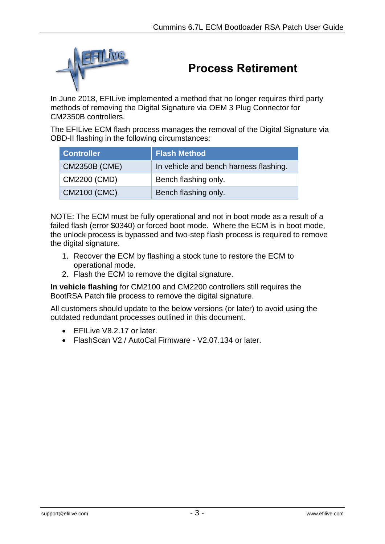<span id="page-4-0"></span>

## <span id="page-4-1"></span>**Process Retirement**

In June 2018, EFILive implemented a method that no longer requires third party methods of removing the Digital Signature via OEM 3 Plug Connector for CM2350B controllers.

The EFILive ECM flash process manages the removal of the Digital Signature via OBD-II flashing in the following circumstances:

| <b>Controller</b>    | <b>Flash Method</b>                    |
|----------------------|----------------------------------------|
| <b>CM2350B (CME)</b> | In vehicle and bench harness flashing. |
| CM2200 (CMD)         | Bench flashing only.                   |
| CM2100 (CMC)         | Bench flashing only.                   |

NOTE: The ECM must be fully operational and not in boot mode as a result of a failed flash (error \$0340) or forced boot mode. Where the ECM is in boot mode, the unlock process is bypassed and two-step flash process is required to remove the digital signature.

- 1. Recover the ECM by flashing a stock tune to restore the ECM to operational mode.
- 2. Flash the ECM to remove the digital signature.

**In vehicle flashing** for CM2100 and CM2200 controllers still requires the BootRSA Patch file process to remove the digital signature.

All customers should update to the below versions (or later) to avoid using the outdated redundant processes outlined in this document.

- **EFILive V8.2.17 or later.**
- FlashScan V2 / AutoCal Firmware V2.07.134 or later.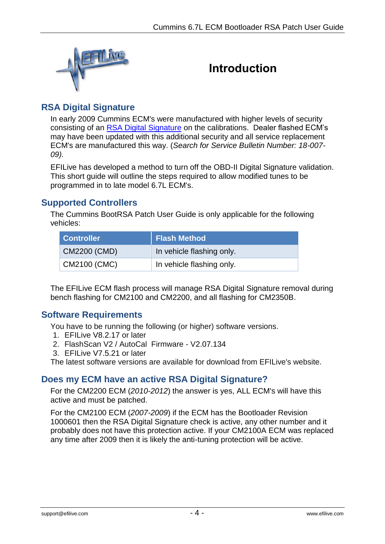<span id="page-5-0"></span>

## <span id="page-5-1"></span>**Introduction**

## <span id="page-5-2"></span>**RSA Digital Signature**

In early 2009 Cummins ECM's were manufactured with higher levels of security consisting of an [RSA Digital Signature](http://en.wikipedia.org/wiki/Digital_signature) on the calibrations. Dealer flashed ECM's may have been updated with this additional security and all service replacement ECM's are manufactured this way. (*Search for Service Bulletin Number: 18-007- 09).*

EFILive has developed a method to turn off the OBD-II Digital Signature validation. This short guide will outline the steps required to allow modified tunes to be programmed in to late model 6.7L ECM's.

#### <span id="page-5-3"></span>**Supported Controllers**

The Cummins BootRSA Patch User Guide is only applicable for the following vehicles:

| <b>Controller</b> | <b>Flash Method</b>       |
|-------------------|---------------------------|
| CM2200 (CMD)      | In vehicle flashing only. |
| CM2100 (CMC)      | In vehicle flashing only. |

The EFILive ECM flash process will manage RSA Digital Signature removal during bench flashing for CM2100 and CM2200, and all flashing for CM2350B.

### <span id="page-5-4"></span>**Software Requirements**

You have to be running the following (or higher) software versions.

- 1. EFILive V8.2.17 or later
- 2. FlashScan V2 / AutoCal Firmware V2.07.134
- 3. EFILive V7.5.21 or later

The latest software versions are available for download from EFILive's website.

#### <span id="page-5-5"></span>**Does my ECM have an active RSA Digital Signature?**

For the CM2200 ECM (*2010-2012*) the answer is yes, ALL ECM's will have this active and must be patched.

For the CM2100 ECM (*2007-2009*) if the ECM has the Bootloader Revision 1000601 then the RSA Digital Signature check is active, any other number and it probably does not have this protection active. If your CM2100A ECM was replaced any time after 2009 then it is likely the anti-tuning protection will be active.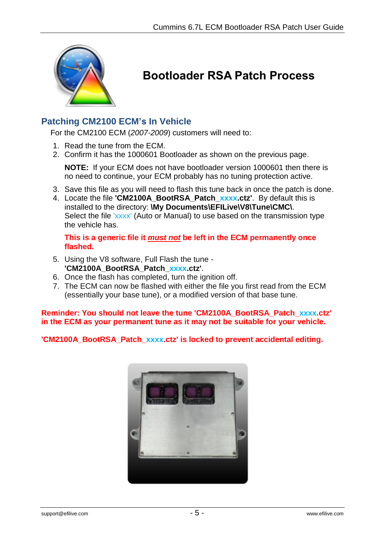<span id="page-6-0"></span>

# <span id="page-6-1"></span>**Bootloader RSA Patch Process**

### <span id="page-6-2"></span>**Patching CM2100 ECM's In Vehicle**

For the CM2100 ECM (*2007-2009*) customers will need to:

- 1. Read the tune from the ECM.
- 2. Confirm it has the 1000601 Bootloader as shown on the previous page.

**NOTE:** If your ECM does not have bootloader version 1000601 then there is no need to continue, your ECM probably has no tuning protection active.

- 3. Save this file as you will need to flash this tune back in once the patch is done.
- 4. Locate the file **'CM2100A\_BootRSA\_Patch\_xxxx.ctz'**. By default this is installed to the directory: **\My Documents\EFILive\V8\Tune\CMC\**. Select the file 'xxxx' (Auto or Manual) to use based on the transmission type the vehicle has.

**This is a generic file it** *must not* **be left in the ECM permanently once flashed.**

- 5. Using the V8 software, Full Flash the tune **'CM2100A\_BootRSA\_Patch\_xxxx.ctz'**.
- 6. Once the flash has completed, turn the ignition off.
- 7. The ECM can now be flashed with either the file you first read from the ECM (essentially your base tune), or a modified version of that base tune.

**Reminder: You should not leave the tune 'CM2100A\_BootRSA\_Patch\_xxxx.ctz' in the ECM as your permanent tune as it may not be suitable for your vehicle.**

**'CM2100A\_BootRSA\_Patch\_xxxx.ctz' is locked to prevent accidental editing.**

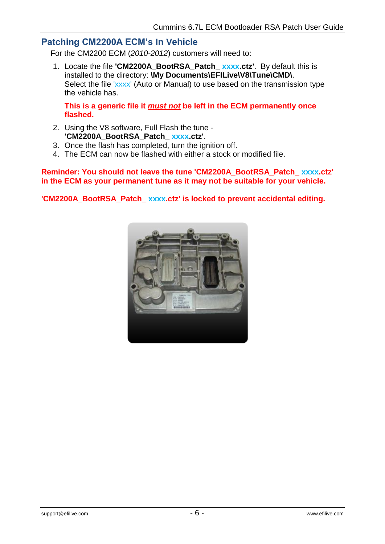#### <span id="page-7-0"></span>**Patching CM2200A ECM's In Vehicle**

For the CM2200 ECM (*2010-2012*) customers will need to:

1. Locate the file **'CM2200A\_BootRSA\_Patch\_ xxxx.ctz'**. By default this is installed to the directory: **\My Documents\EFILive\V8\Tune\CMD\**. Select the file 'xxxx' (Auto or Manual) to use based on the transmission type the vehicle has.

**This is a generic file it** *must not* **be left in the ECM permanently once flashed.**

- 2. Using the V8 software, Full Flash the tune **'CM2200A\_BootRSA\_Patch\_ xxxx.ctz'**.
- 3. Once the flash has completed, turn the ignition off.
- 4. The ECM can now be flashed with either a stock or modified file.

**Reminder: You should not leave the tune 'CM2200A\_BootRSA\_Patch\_ xxxx.ctz' in the ECM as your permanent tune as it may not be suitable for your vehicle.**

**'CM2200A\_BootRSA\_Patch\_ xxxx.ctz' is locked to prevent accidental editing.**

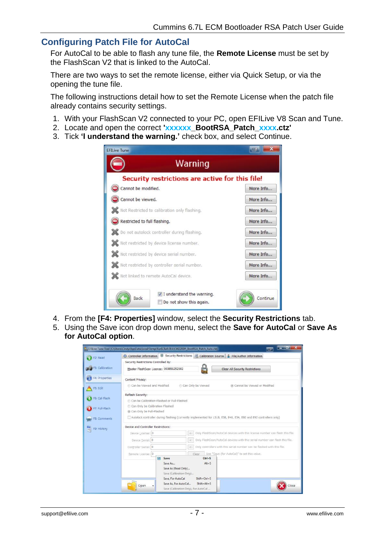#### <span id="page-8-0"></span>**Configuring Patch File for AutoCal**

For AutoCal to be able to flash any tune file, the **Remote License** must be set by the FlashScan V2 that is linked to the AutoCal.

There are two ways to set the remote license, either via Quick Setup, or via the opening the tune file.

The following instructions detail how to set the Remote License when the patch file already contains security settings.

- 1. With your FlashScan V2 connected to your PC, open EFILive V8 Scan and Tune.
- 2. Locate and open the correct **'xxxxxx\_BootRSA\_Patch\_xxxx.ctz'**
- 3. Tick **'I understand the warning.'** check box, and select Continue.

| <b>EFILive Tune</b>                                                          | <b>First</b> |
|------------------------------------------------------------------------------|--------------|
| Warning                                                                      |              |
| Security restrictions are active for this file!                              |              |
| Cannot be modified.                                                          | More Info    |
| Cannot be viewed.                                                            | More Info    |
| Not Restricted to calibration only flashing.                                 | More Info    |
| Restricted to full flashing.                                                 | More Info    |
| Do not autolock controller during flashing.                                  | More Info    |
| Not restricted by device license number.                                     | More Info    |
| Not restricted by device serial number.                                      | More Info    |
| Not restricted by controller serial number.                                  | More Info    |
| Not linked to remote AutoCal device.                                         | More Info    |
| $\triangledown$ I understand the warning.<br>Back<br>Do not show this again. | Continue     |

- 4. From the **[F4: Properties]** window, select the **Security Restrictions** tab.
- 5. Using the Save icon drop down menu, select the **Save for AutoCal** or **Save As for AutoCal option**.

| Security Restrictions Controlled By:<br>Master FlashScan License: 003851252182<br>Can be Viewed and Modified<br>Can be Calibration-Flashed or Full-Flashed<br>Can Only be Calibration-Flashed<br>@ Can Only be Full-Flashed<br>Device and Controller Restrictions:<br>Device License: 0 | C Can Only be Viewed |                                                                                                                         | <b>Clear All Security Restrictions</b><br>@ Cannot be Viewed or Modified<br>Autolock controller during flashing (currently implemented for LS1B, E38, E40, E54, E60 and E92 controllers only) |                                                                                                                        |
|-----------------------------------------------------------------------------------------------------------------------------------------------------------------------------------------------------------------------------------------------------------------------------------------|----------------------|-------------------------------------------------------------------------------------------------------------------------|-----------------------------------------------------------------------------------------------------------------------------------------------------------------------------------------------|------------------------------------------------------------------------------------------------------------------------|
|                                                                                                                                                                                                                                                                                         |                      |                                                                                                                         |                                                                                                                                                                                               |                                                                                                                        |
|                                                                                                                                                                                                                                                                                         |                      |                                                                                                                         |                                                                                                                                                                                               |                                                                                                                        |
|                                                                                                                                                                                                                                                                                         |                      |                                                                                                                         |                                                                                                                                                                                               |                                                                                                                        |
|                                                                                                                                                                                                                                                                                         |                      |                                                                                                                         |                                                                                                                                                                                               |                                                                                                                        |
|                                                                                                                                                                                                                                                                                         |                      |                                                                                                                         |                                                                                                                                                                                               |                                                                                                                        |
|                                                                                                                                                                                                                                                                                         |                      |                                                                                                                         |                                                                                                                                                                                               |                                                                                                                        |
|                                                                                                                                                                                                                                                                                         |                      |                                                                                                                         |                                                                                                                                                                                               |                                                                                                                        |
|                                                                                                                                                                                                                                                                                         |                      |                                                                                                                         |                                                                                                                                                                                               |                                                                                                                        |
|                                                                                                                                                                                                                                                                                         | $\leq$               |                                                                                                                         | Only FlashScan/AutoCal devices with this license number can flash this file.                                                                                                                  |                                                                                                                        |
| Device Serial: 0                                                                                                                                                                                                                                                                        | $\,<$                |                                                                                                                         | Only FlashScan/AutoCal devices with this serial number can flash this file.                                                                                                                   |                                                                                                                        |
| Controller Serial: 0                                                                                                                                                                                                                                                                    | $<\cdot$             |                                                                                                                         |                                                                                                                                                                                               |                                                                                                                        |
|                                                                                                                                                                                                                                                                                         |                      |                                                                                                                         |                                                                                                                                                                                               |                                                                                                                        |
| н                                                                                                                                                                                                                                                                                       |                      |                                                                                                                         |                                                                                                                                                                                               |                                                                                                                        |
|                                                                                                                                                                                                                                                                                         | Remote License: 0    | Clear<br>Save<br>Save As<br>Save As (Read Only)<br>Save (Calibration Only)<br>Save, For AutoCal<br>Save As, For AutoCal | $Ctrl + S$<br>$Alt + S$<br>Shift+Ctrl+S<br>Shift+Alt+S                                                                                                                                        | Only controllers with this serial number can be flashed with this file.<br>Use "Save (for AutoCal)" to set this value. |